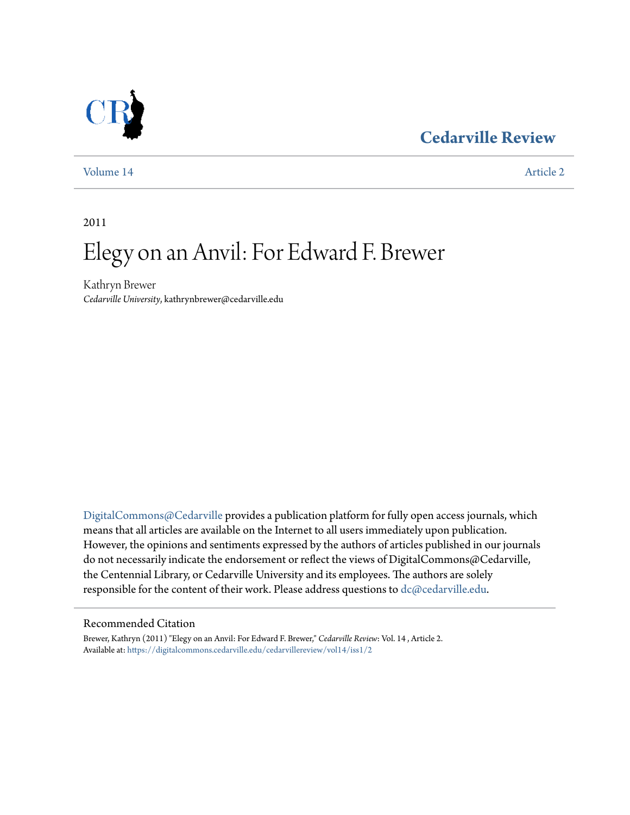## **[Cedarville Review](https://digitalcommons.cedarville.edu/cedarvillereview?utm_source=digitalcommons.cedarville.edu%2Fcedarvillereview%2Fvol14%2Fiss1%2F2&utm_medium=PDF&utm_campaign=PDFCoverPages)**



[Volume 14](https://digitalcommons.cedarville.edu/cedarvillereview/vol14?utm_source=digitalcommons.cedarville.edu%2Fcedarvillereview%2Fvol14%2Fiss1%2F2&utm_medium=PDF&utm_campaign=PDFCoverPages) [Article 2](https://digitalcommons.cedarville.edu/cedarvillereview/vol14/iss1/2?utm_source=digitalcommons.cedarville.edu%2Fcedarvillereview%2Fvol14%2Fiss1%2F2&utm_medium=PDF&utm_campaign=PDFCoverPages)

2011

# Elegy on an Anvil: For Edward F. Brewer

Kathryn Brewer *Cedarville University*, kathrynbrewer@cedarville.edu

[DigitalCommons@Cedarville](http://digitalcommons.cedarville.edu) provides a publication platform for fully open access journals, which means that all articles are available on the Internet to all users immediately upon publication. However, the opinions and sentiments expressed by the authors of articles published in our journals do not necessarily indicate the endorsement or reflect the views of DigitalCommons@Cedarville, the Centennial Library, or Cedarville University and its employees. The authors are solely responsible for the content of their work. Please address questions to  $dc@cedarville.edu$ .

#### Recommended Citation

Brewer, Kathryn (2011) "Elegy on an Anvil: For Edward F. Brewer," *Cedarville Review*: Vol. 14 , Article 2. Available at: [https://digitalcommons.cedarville.edu/cedarvillereview/vol14/iss1/2](https://digitalcommons.cedarville.edu/cedarvillereview/vol14/iss1/2?utm_source=digitalcommons.cedarville.edu%2Fcedarvillereview%2Fvol14%2Fiss1%2F2&utm_medium=PDF&utm_campaign=PDFCoverPages)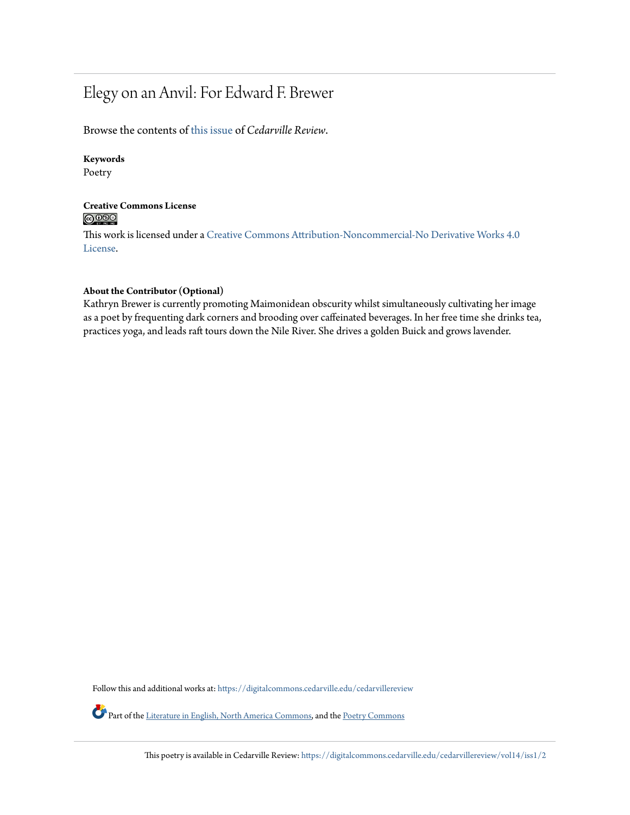# Elegy on an Anvil: For Edward F. Brewer

Browse the contents of [this issue](https://digitalcommons.cedarville.edu/cedarvillereview/vol14/iss1) of *Cedarville Review*.

#### **Keywords**

Poetry

#### **Creative Commons License**  $\bigcirc$   $\circ$

This work is licensed under a [Creative Commons Attribution-Noncommercial-No Derivative Works 4.0](http://creativecommons.org/licenses/by-nc-nd/4.0/) [License.](http://creativecommons.org/licenses/by-nc-nd/4.0/)

#### **About the Contributor (Optional)**

Kathryn Brewer is currently promoting Maimonidean obscurity whilst simultaneously cultivating her image as a poet by frequenting dark corners and brooding over caffeinated beverages. In her free time she drinks tea, practices yoga, and leads raft tours down the Nile River. She drives a golden Buick and grows lavender.

Follow this and additional works at: [https://digitalcommons.cedarville.edu/cedarvillereview](https://digitalcommons.cedarville.edu/cedarvillereview?utm_source=digitalcommons.cedarville.edu%2Fcedarvillereview%2Fvol14%2Fiss1%2F2&utm_medium=PDF&utm_campaign=PDFCoverPages)

Part of the [Literature in English, North America Commons,](http://network.bepress.com/hgg/discipline/458?utm_source=digitalcommons.cedarville.edu%2Fcedarvillereview%2Fvol14%2Fiss1%2F2&utm_medium=PDF&utm_campaign=PDFCoverPages) and the [Poetry Commons](http://network.bepress.com/hgg/discipline/1153?utm_source=digitalcommons.cedarville.edu%2Fcedarvillereview%2Fvol14%2Fiss1%2F2&utm_medium=PDF&utm_campaign=PDFCoverPages)